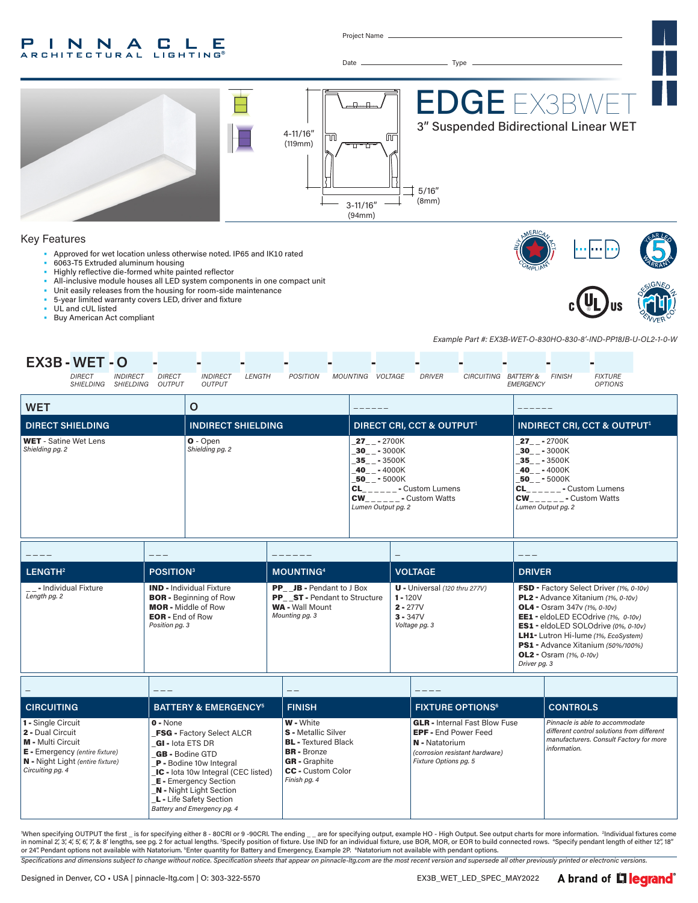#### P INNA **CLE ARCHITECTURAL LIGHTING**

Project Name



When specifying OUTPUT the first \_ is for specifying either 8 - 80CRI or 9 -90CRI. The ending \_\_ are for specifying output, example HO - High Output. See output charts for more information. <sup>2</sup>Individual fixtures come in nominal 2,'3,'4,'5,'6,'7,'& 8' lengths, see pg. 2 for actual lengths. <sup>3</sup>Specify position of fixture. Use IND for an individual fixture, use BOR, MOR, or EOR to build connected rows. 'Specify pendant length of either 1

*Specifications and dimensions subject to change without notice. Specification sheets that appear on pinnacle-ltg.com are the most recent version and supersede all other previously printed or electronic versions.*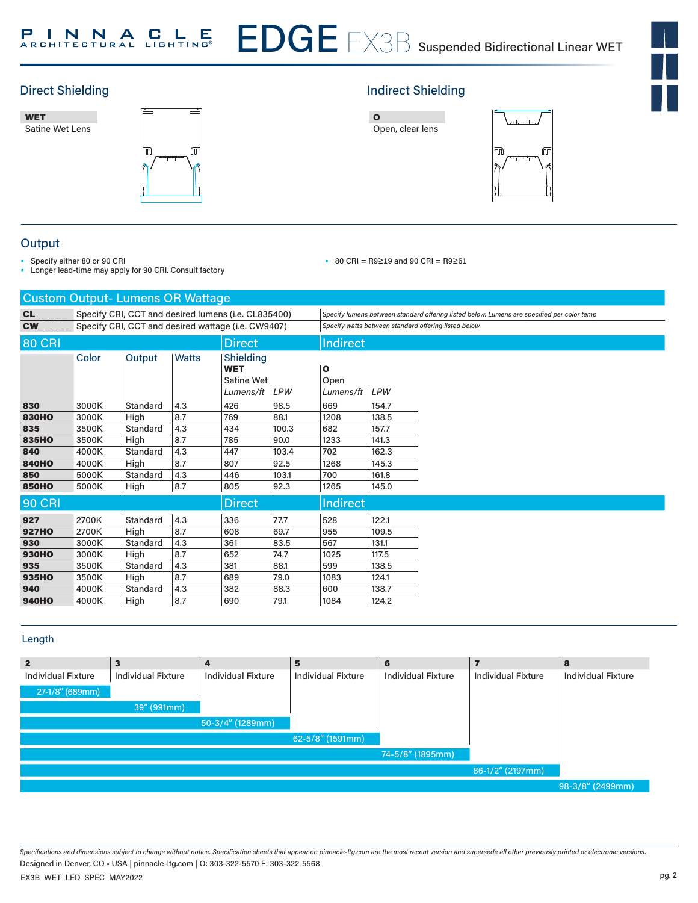





# Direct Shielding **Indirect Shielding Indirect Shielding**





## **Output**

- Specify either 80 or 90 CRI
- Longer lead-time may apply for 90 CRI. Consult factory

### • 80 CRI = R9≥19 and 90 CRI = R9≥61

| <b>Custom Output-Lumens OR Wattage</b> |                                                     |          |              |                                                           |            |                              |       |                                                                                                                                                    |
|----------------------------------------|-----------------------------------------------------|----------|--------------|-----------------------------------------------------------|------------|------------------------------|-------|----------------------------------------------------------------------------------------------------------------------------------------------------|
| CL<br><b>CW</b>                        | Specify CRI, CCT and desired lumens (i.e. CL835400) |          |              |                                                           |            |                              |       | Specify lumens between standard offering listed below. Lumens are specified per color temp<br>Specify watts between standard offering listed below |
|                                        | Specify CRI, CCT and desired wattage (i.e. CW9407)  |          |              |                                                           |            |                              |       |                                                                                                                                                    |
| <b>80 CRI</b><br><b>Direct</b>         |                                                     |          |              |                                                           |            | <b>Indirect</b>              |       |                                                                                                                                                    |
|                                        | Color                                               | Output   | <b>Watts</b> | <b>Shielding</b><br><b>WET</b><br>Satine Wet<br>Lumens/ft | <b>LPW</b> | о<br>Open<br>Lumens/ft   LPW |       |                                                                                                                                                    |
| 830                                    | 3000K                                               | Standard | 4.3          | 426                                                       | 98.5       | 669                          | 154.7 |                                                                                                                                                    |
| <b>830HO</b>                           | 3000K                                               | High     | 8.7          | 769                                                       | 88.1       | 1208                         | 138.5 |                                                                                                                                                    |
| 835                                    | 3500K                                               | Standard | 4.3          | 434                                                       | 100.3      | 682                          | 157.7 |                                                                                                                                                    |
| 835HO                                  | 3500K                                               | High     | 8.7          | 785                                                       | 90.0       | 1233                         | 141.3 |                                                                                                                                                    |
| 840                                    | 4000K                                               | Standard | 4.3          | 447                                                       | 103.4      | 702                          | 162.3 |                                                                                                                                                    |
| <b>840HO</b>                           | 4000K                                               | High     | 8.7          | 807                                                       | 92.5       | 1268                         | 145.3 |                                                                                                                                                    |
| 850                                    | 5000K                                               | Standard | 4.3          | 446                                                       | 103.1      | 700                          | 161.8 |                                                                                                                                                    |
| <b>850HO</b>                           | 5000K                                               | High     | 8.7          | 805                                                       | 92.3       | 1265                         | 145.0 |                                                                                                                                                    |
| <b>90 CRI</b>                          |                                                     |          |              | <b>Direct</b>                                             |            | <b>Indirect</b>              |       |                                                                                                                                                    |
| 927                                    | 2700K                                               | Standard | 4.3          | 336                                                       | 77.7       | 528                          | 122.1 |                                                                                                                                                    |
| <b>927HO</b>                           | 2700K                                               | High     | 8.7          | 608                                                       | 69.7       | 955                          | 109.5 |                                                                                                                                                    |
| 930                                    | 3000K                                               | Standard | 4.3          | 361                                                       | 83.5       | 567                          | 131.1 |                                                                                                                                                    |
| <b>930HO</b>                           | 3000K                                               | High     | 8.7          | 652                                                       | 74.7       | 1025                         | 117.5 |                                                                                                                                                    |
| 935                                    | 3500K                                               | Standard | 4.3          | 381                                                       | 88.1       | 599                          | 138.5 |                                                                                                                                                    |
| 935HO                                  | 3500K                                               | High     | 8.7          | 689                                                       | 79.0       | 1083                         | 124.1 |                                                                                                                                                    |
| 940                                    | 4000K                                               | Standard | 4.3          | 382                                                       | 88.3       | 600                          | 138.7 |                                                                                                                                                    |
| <b>940HO</b>                           | 4000K                                               | High     | 8.7          | 690                                                       | 79.1       | 1084                         | 124.2 |                                                                                                                                                    |

## Length

| $\mathbf{2}$              | 3                         | 4                         | 5                         | 6                         |                           | 8                         |
|---------------------------|---------------------------|---------------------------|---------------------------|---------------------------|---------------------------|---------------------------|
| <b>Individual Fixture</b> | <b>Individual Fixture</b> | <b>Individual Fixture</b> | <b>Individual Fixture</b> | <b>Individual Fixture</b> | <b>Individual Fixture</b> | <b>Individual Fixture</b> |
| 27-1/8" (689mm)           |                           |                           |                           |                           |                           |                           |
|                           | 39" (991mm)               |                           |                           |                           |                           |                           |
|                           |                           | $50-3/4''$ (1289mm)       |                           |                           |                           |                           |
|                           |                           |                           | 62-5/8" (1591mm)          |                           |                           |                           |
|                           |                           |                           |                           | 74-5/8" (1895mm)          |                           |                           |
|                           |                           |                           |                           |                           | 86-1/2" (2197mm)          |                           |
|                           |                           |                           |                           |                           |                           | 98-3/8" (2499mm)          |

*Specifications and dimensions subject to change without notice. Specification sheets that appear on pinnacle-ltg.com are the most recent version and supersede all other previously printed or electronic versions.* EX3B\_WET\_LED\_SPEC\_MAY2022 Designed in Denver, CO • USA | pinnacle-ltg.com | O: 303-322-5570 F: 303-322-5568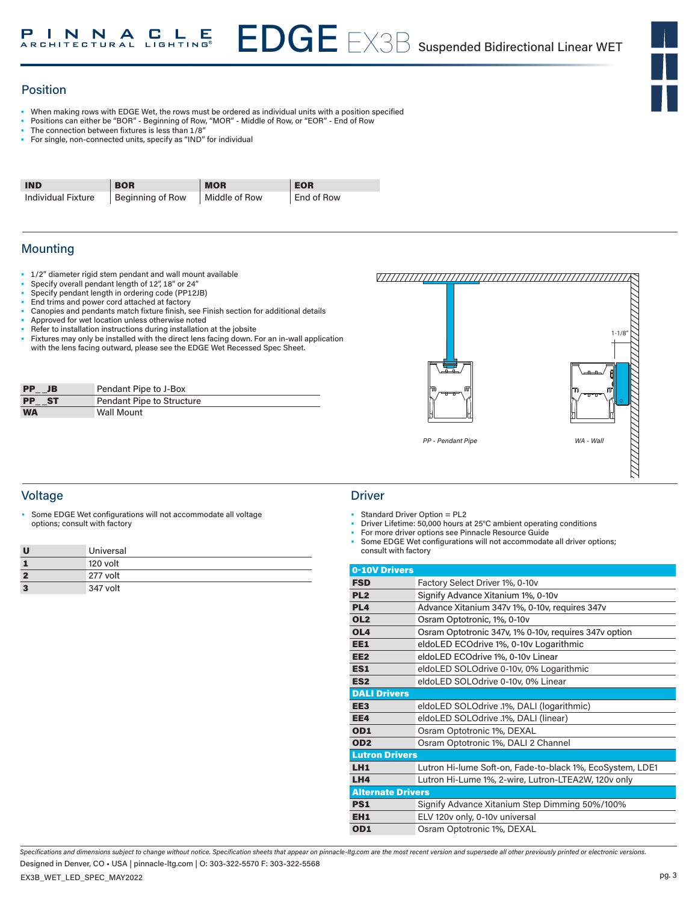## Position

- When making rows with EDGE Wet, the rows must be ordered as individual units with a position specified
- Positions can either be "BOR" Beginning of Row, "MOR" Middle of Row, or "EOR" End of Row
- The connection between fixtures is less than 1/8"
- For single, non-connected units, specify as "IND" for individual

| <b>IND</b>         | <b>BOR</b>                    | <b>MOR</b>    | <b>EOR</b> |
|--------------------|-------------------------------|---------------|------------|
| Individual Fixture | <sup>I</sup> Beginning of Row | Middle of Row | End of Row |

## Mounting

- 1/2" diameter rigid stem pendant and wall mount available
- Specify overall pendant length of 12", 18" or 24"
- Specify pendant length in ordering code (PP12JB)
- End trims and power cord attached at factory
- Canopies and pendants match fixture finish, see Finish section for additional details
- Approved for wet location unless otherwise noted
- Refer to installation instructions during installation at the jobsite
- Fixtures may only be installed with the direct lens facing down. For an in-wall application with the lens facing outward, please see the EDGE Wet Recessed Spec Sheet.

| <b>PP</b><br>JB        | Pendant Pipe to J-Box     |
|------------------------|---------------------------|
| <b>PP</b><br><b>ST</b> | Pendant Pipe to Structure |
| <b>WA</b>              | <b>Wall Mount</b>         |



## Voltage Driver (1999) and the United States of the United States of the Driver

Some EDGE Wet configurations will not accommodate all voltage options; consult with factory

| U | Universal |
|---|-----------|
|   | 120 volt  |
| 2 | 277 volt  |
| 3 | 347 volt  |

- Standard Driver Option = PL2
- Driver Lifetime: 50,000 hours at 25°C ambient operating conditions
- For more driver options see Pinnacle Resource Guide
- Some EDGE Wet configurations will not accommodate all driver options; consult with factory

| 0-10V Drivers            |                                                           |
|--------------------------|-----------------------------------------------------------|
| <b>FSD</b>               | Factory Select Driver 1%, 0-10v                           |
| PL <sub>2</sub>          | Signify Advance Xitanium 1%, 0-10v                        |
| PL <sub>4</sub>          | Advance Xitanium 347v 1%, 0-10v, requires 347v            |
| OL <sub>2</sub>          | Osram Optotronic, 1%, 0-10v                               |
| OL <sub>4</sub>          | Osram Optotronic 347v, 1% 0-10v, requires 347v option     |
| EE1                      | eldoLED ECOdrive 1%, 0-10v Logarithmic                    |
| EE <sub>2</sub>          | eldoLED ECOdrive 1%, 0-10v Linear                         |
| ES1                      | eldoLED SOLOdrive 0-10v, 0% Logarithmic                   |
| ES <sub>2</sub>          | eldoLED SOLOdrive 0-10v, 0% Linear                        |
| <b>DALI Drivers</b>      |                                                           |
| EE <sub>3</sub>          | eldoLED SOLOdrive .1%, DALI (logarithmic)                 |
| EE4                      | eldoLED SOLOdrive .1%, DALI (linear)                      |
| OD <sub>1</sub>          | Osram Optotronic 1%, DEXAL                                |
| OD <sub>2</sub>          | Osram Optotronic 1%, DALI 2 Channel                       |
| <b>Lutron Drivers</b>    |                                                           |
| LH1                      | Lutron Hi-lume Soft-on, Fade-to-black 1%, EcoSystem, LDE1 |
| LH4                      | Lutron Hi-Lume 1%, 2-wire, Lutron-LTEA2W, 120v only       |
| <b>Alternate Drivers</b> |                                                           |
| <b>PS1</b>               | Signify Advance Xitanium Step Dimming 50%/100%            |
| EH1                      | ELV 120v only, 0-10v universal                            |
| OD <sub>1</sub>          | Osram Optotronic 1%, DEXAL                                |

*Specifications and dimensions subject to change without notice. Specification sheets that appear on pinnacle-ltg.com are the most recent version and supersede all other previously printed or electronic versions.* Designed in Denver, CO • USA | pinnacle-ltg.com | O: 303-322-5570 F: 303-322-5568

EX3B\_WET\_LED\_SPEC\_MAY2022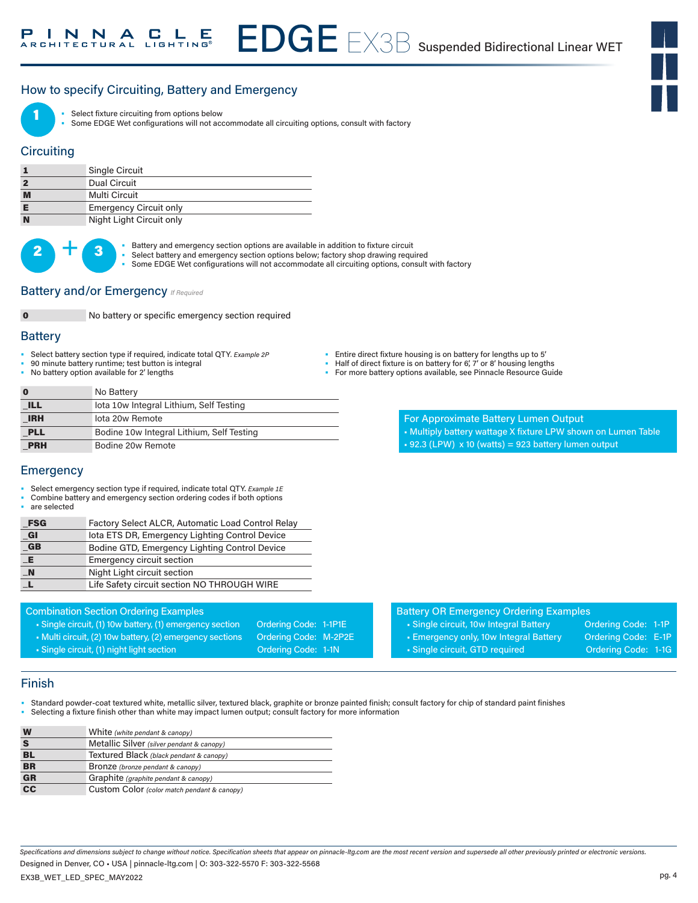## How to specify Circuiting, Battery and Emergency



Select fixture circuiting from options below

• Some EDGE Wet configurations will not accommodate all circuiting options, consult with factory

## **Circuiting**

|          | Single Circuit                |
|----------|-------------------------------|
|          | Dual Circuit                  |
| M        | Multi Circuit                 |
|          | <b>Emergency Circuit only</b> |
| <b>N</b> | Night Light Circuit only      |

 $2 +$ 

Battery and emergency section options are available in addition to fixture circuit

- Select battery and emergency section options below; factory shop drawing required
	- Some EDGE Wet configurations will not accommodate all circuiting options, consult with factory

## Battery and/or Emergency *If Required*



No battery or specific emergency section required

### **Battery**

- Select battery section type if required, indicate total QTY*. Example 2P*
- 90 minute battery runtime; test button is integral
- No battery option available for 2' lengths

- Half of direct fixture is on battery for 6', 7' or 8' housing lengths
- For more battery options available, see Pinnacle Resource Guide

| $\mathbf 0$ | No Battery                                |
|-------------|-------------------------------------------|
| ILL         | lota 10w Integral Lithium, Self Testing   |
| <b>IRH</b>  | lota 20w Remote                           |
| <b>PLL</b>  | Bodine 10w Integral Lithium, Self Testing |
| <b>PRH</b>  | Bodine 20w Remote                         |

- For Approximate Battery Lumen Output
- Multiply battery wattage X fixture LPW shown on Lumen Table
- $\text{-} 92.3$  (LPW) x 10 (watts) = 923 battery lumen output

## **Emergency**

- Select emergency section type if required, indicate total QTY. *Example 1E*
- Combine battery and emergency section ordering codes if both options
- are selected

| <b>FSG</b> | Factory Select ALCR, Automatic Load Control Relay |
|------------|---------------------------------------------------|
|            |                                                   |

| GI               | lota ETS DR, Emergency Lighting Control Device |
|------------------|------------------------------------------------|
| $G$ <sub>B</sub> | Bodine GTD, Emergency Lighting Control Device  |
| Æ                | Emergency circuit section                      |
| $\blacksquare$ N | Night Light circuit section                    |
|                  | Life Safety circuit section NO THROUGH WIRE    |

#### Combination Section Ordering Examples

- Single circuit, (1) 10w battery, (1) emergency section Ordering Code: 1-1P1E
- Multi circuit, (2) 10w battery, (2) emergency sections Ordering Code: M-2P2E
- Single circuit, (1) night light section Context Condering Code: 1-1N
- 
- Battery OR Emergency Ordering Examples
- Single circuit, 10w Integral Battery **Ordering Code: 1-1P**
- Emergency only, 10w Integral Battery Ordering Code: E-1P
- Single circuit, GTD required **Ordering Code: 1-1G**
- 
- 
- 
- 
- 

## Finish

- Standard powder-coat textured white, metallic silver, textured black, graphite or bronze painted finish; consult factory for chip of standard paint finishes
- Selecting a fixture finish other than white may impact lumen output; consult factory for more information

| W                        | White (white pendant & canopy)              |
|--------------------------|---------------------------------------------|
|                          | Metallic Silver (silver pendant & canopy)   |
| BL                       | Textured Black (black pendant & canopy)     |
| <b>BR</b>                | <b>Bronze</b> (bronze pendant & canopy)     |
| <b>GR</b>                | Graphite (graphite pendant & canopy)        |
| $\overline{\mathsf{cc}}$ | Custom Color (color match pendant & canopy) |

*Specifications and dimensions subject to change without notice. Specification sheets that appear on pinnacle-ltg.com are the most recent version and supersede all other previously printed or electronic versions.*

EX3B\_WET\_LED\_SPEC\_MAY2022 Designed in Denver, CO • USA | pinnacle-ltg.com | O: 303-322-5570 F: 303-322-5568

pg. 4